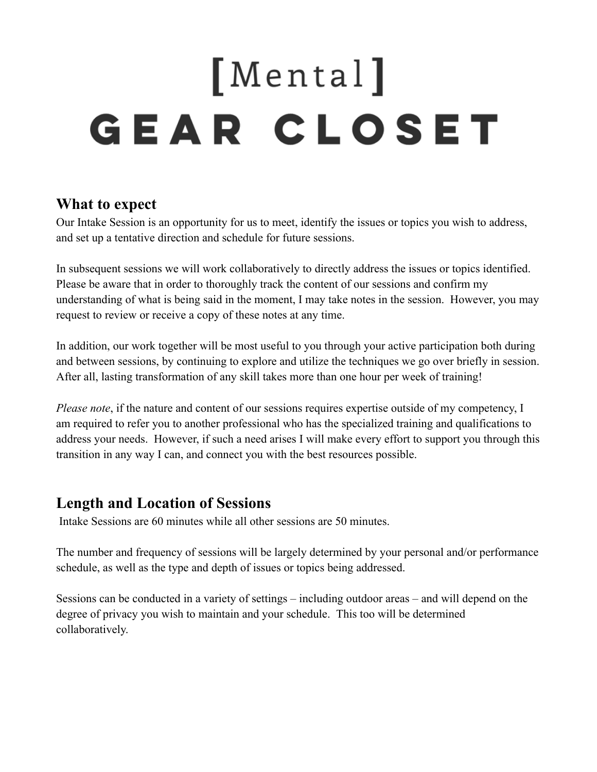# [Mental] **GEAR CLOSET**

#### **What to expect**

Our Intake Session is an opportunity for us to meet, identify the issues or topics you wish to address, and set up a tentative direction and schedule for future sessions.

In subsequent sessions we will work collaboratively to directly address the issues or topics identified. Please be aware that in order to thoroughly track the content of our sessions and confirm my understanding of what is being said in the moment, I may take notes in the session. However, you may request to review or receive a copy of these notes at any time.

In addition, our work together will be most useful to you through your active participation both during and between sessions, by continuing to explore and utilize the techniques we go over briefly in session. After all, lasting transformation of any skill takes more than one hour per week of training!

*Please note*, if the nature and content of our sessions requires expertise outside of my competency, I am required to refer you to another professional who has the specialized training and qualifications to address your needs. However, if such a need arises I will make every effort to support you through this transition in any way I can, and connect you with the best resources possible.

## **Length and Location of Sessions**

Intake Sessions are 60 minutes while all other sessions are 50 minutes.

The number and frequency of sessions will be largely determined by your personal and/or performance schedule, as well as the type and depth of issues or topics being addressed.

Sessions can be conducted in a variety of settings – including outdoor areas – and will depend on the degree of privacy you wish to maintain and your schedule. This too will be determined collaboratively.